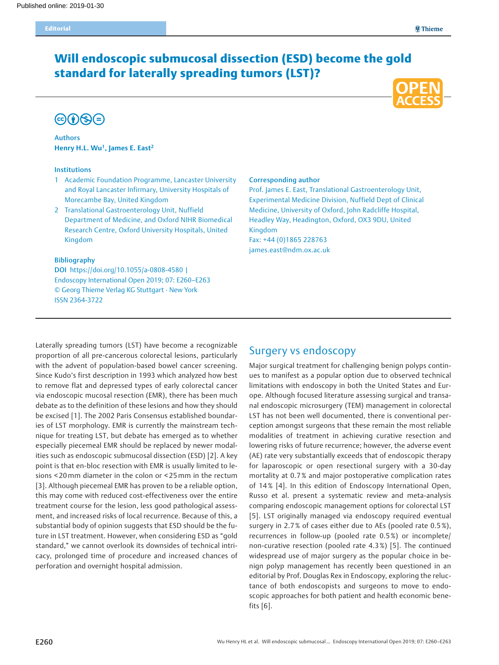# Will endoscopic submucosal dissection (ESD) become the gold standard for laterally spreading tumors (LST)?



# $G(\widehat{\mathbf{h}})$  $\mathfrak{h}(\widehat{\mathbf{h}})$

### Authors Henry H.L. Wu<sup>1</sup>, James E. East<sup>2</sup>

### Institutions

- 1 Academic Foundation Programme, Lancaster University and Royal Lancaster Infirmary, University Hospitals of Morecambe Bay, United Kingdom
- 2 Translational Gastroenterology Unit, Nuffield Department of Medicine, and Oxford NIHR Biomedical Research Centre, Oxford University Hospitals, United Kingdom

#### Bibliography

DOI https://doi.org/10.1055/a-0808-4580 | Endoscopy International Open 2019; 07: E260–E263 © Georg Thieme Verlag KG Stuttgart · New York ISSN 2364-3722

#### Corresponding author

Prof. James E. East, Translational Gastroenterology Unit, Experimental Medicine Division, Nuffield Dept of Clinical Medicine, University of Oxford, John Radcliffe Hospital, Headley Way, Headington, Oxford, OX3 9DU, United Kingdom Fax: +44 (0)1865 228763 james.east@ndm.ox.ac.uk

Laterally spreading tumors (LST) have become a recognizable proportion of all pre-cancerous colorectal lesions, particularly with the advent of population-based bowel cancer screening. Since Kudo's first description in 1993 which analyzed how best to remove flat and depressed types of early colorectal cancer via endoscopic mucosal resection (EMR), there has been much debate as to the definition of these lesions and how they should be excised [1]. The 2002 Paris Consensus established boundaries of LST morphology. EMR is currently the mainstream technique for treating LST, but debate has emerged as to whether especially piecemeal EMR should be replaced by newer modalities such as endoscopic submucosal dissection (ESD) [2]. A key point is that en-bloc resection with EMR is usually limited to lesions < 20mm diameter in the colon or < 25mm in the rectum [3]. Although piecemeal EMR has proven to be a reliable option, this may come with reduced cost-effectiveness over the entire treatment course for the lesion, less good pathological assessment, and increased risks of local recurrence. Because of this, a substantial body of opinion suggests that ESD should be the future in LST treatment. However, when considering ESD as "gold standard," we cannot overlook its downsides of technical intricacy, prolonged time of procedure and increased chances of perforation and overnight hospital admission.

# Surgery vs endoscopy

Major surgical treatment for challenging benign polyps continues to manifest as a popular option due to observed technical limitations with endoscopy in both the United States and Europe. Although focused literature assessing surgical and transanal endoscopic microsurgery (TEM) management in colorectal LST has not been well documented, there is conventional perception amongst surgeons that these remain the most reliable modalities of treatment in achieving curative resection and lowering risks of future recurrence; however, the adverse event (AE) rate very substantially exceeds that of endoscopic therapy for laparoscopic or open resectional surgery with a 30-day mortality at 0.7 % and major postoperative complication rates of 14% [4]. In this edition of Endoscopy International Open, Russo et al. present a systematic review and meta-analysis comparing endoscopic management options for colorectal LST [5]. LST originally managed via endoscopy required eventual surgery in 2.7 % of cases either due to AEs (pooled rate 0.5 %), recurrences in follow-up (pooled rate 0.5 %) or incomplete/ non-curative resection (pooled rate 4.3 %) [5]. The continued widespread use of major surgery as the popular choice in benign polyp management has recently been questioned in an editorial by Prof. Douglas Rex in Endoscopy, exploring the reluctance of both endoscopists and surgeons to move to endoscopic approaches for both patient and health economic benefits [6].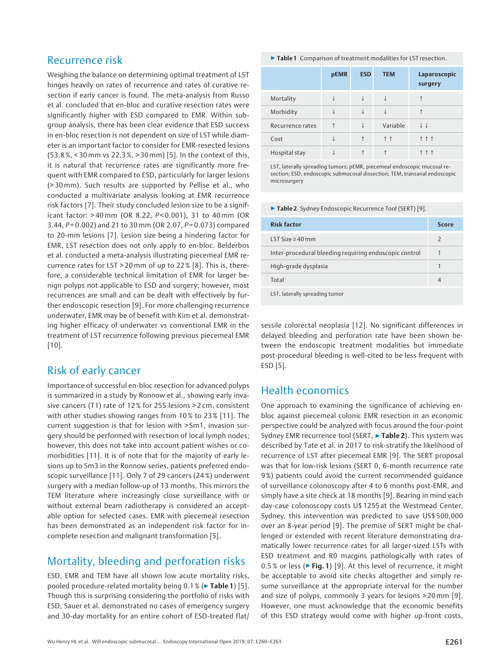## Recurrence risk

Weighing the balance on determining optimal treatment of LST hinges heavily on rates of recurrence and rates of curative resection if early cancer is found. The meta-analysis from Russo et al. concluded that en-bloc and curative resection rates were significantly higher with ESD compared to EMR. Within subgroup analysis, there has been clear evidence that ESD success in en-bloc resection is not dependent on size of LST while diameter is an important factor to consider for EMR-resected lesions (53.8 %, < 30mm vs 22.3 %, > 30mm) [5]. In the context of this, it is natural that recurrence rates are significantly more frequent with EMR compared to ESD, particularly for larger lesions (> 30mm). Such results are supported by Pellise et al., who conducted a multivariate analysis looking at EMR recurrence risk factors [7]. Their study concluded lesion size to be a significant factor: > 40mm (OR 8.22, P < 0.001), 31 to 40mm (OR 3.44,  $P = 0.002$ ) and 21 to 30 mm (OR 2.07,  $P = 0.073$ ) compared to 20-mm lesions [7]. Lesion size being a hindering factor for EMR, LST resection does not only apply to en-bloc. Belderbos et al. conducted a meta-analysis illustrating piecemeal EMR recurrence rates for LST > 20mm of up to 22 % [8]. This is, therefore, a considerable technical limitation of EMR for larger benign polyps not applicable to ESD and surgery; however, most recurrences are small and can be dealt with effectively by further endoscopic resection [9]. For more challenging recurrence underwater, EMR may be of benefit with Kim et al. demonstrating higher efficacy of underwater vs conventional EMR in the treatment of LST recurrence following previous piecemeal EMR [10].

# Risk of early cancer

Importance of successful en-bloc resection for advanced polyps is summarized in a study by Ronnow et al., showing early invasive cancers (T1) rate of 12 % for 255 lesions > 2 cm, consistent with other studies showing ranges from 10 % to 23 % [11]. The current suggestion is that for lesion with > Sm1, invasion surgery should be performed with resection of local lymph nodes; however, this does not take into account patient wishes or comorbidities [11]. It is of note that for the majority of early lesions up to Sm3 in the Ronnow series, patients preferred endoscopic surveillance [11]. Only 7 of 29 cancers (24 %) underwent surgery with a median follow-up of 13 months. This mirrors the TEM literature where increasingly close surveillance with or without external beam radiotherapy is considered an acceptable option for selected cases. EMR with piecemeal resection has been demonstrated as an independent risk factor for incomplete resection and malignant transformation [5].

# Mortality, bleeding and perforation risks

ESD, EMR and TEM have all shown low acute mortality risks, pooled procedure-related mortality being 0.1 % (▶Table 1) [5]. Though this is surprising considering the portfolio of risks with ESD, Sauer et al. demonstrated no cases of emergency surgery and 30-day mortality for an entire cohort of ESD-treated flat/

#### ▶Table 1 Comparison of treatment modalities for LST resection.

|                  | <b>pEMR</b> | <b>ESD</b> | <b>TEM</b>            | Laparoscopic<br>surgery |
|------------------|-------------|------------|-----------------------|-------------------------|
| Mortality        | J           |            |                       |                         |
| Morbidity        | J           |            |                       |                         |
| Recurrence rates | ↑           | Τ          | Variable              | ιı                      |
| Cost             | J           | $\uparrow$ | $\uparrow$ $\uparrow$ | 111                     |
| Hospital stay    |             |            |                       |                         |

LST, laterally spreading tumors; pEMR, piecemeal endoscopic mucosal resection; ESD, endoscopic submucosal dissection; TEM, transanal endoscopic microsurgery

| ▶ Table 2 Sydney Endoscopic Recurrence Tool (SERT) [9]. |                          |  |  |  |
|---------------------------------------------------------|--------------------------|--|--|--|
| <b>Risk factor</b>                                      | Score                    |  |  |  |
| $15T$ Size $\geq 40$ mm                                 | $\overline{\phantom{a}}$ |  |  |  |
| Inter-procedural bleeding requiring endoscopic control  |                          |  |  |  |
| High-grade dysplasia                                    |                          |  |  |  |
| Total                                                   | 4                        |  |  |  |
| LST, laterally spreading tumor                          |                          |  |  |  |

sessile colorectal neoplasia [12]. No significant differences in delayed bleeding and perforation rate have been shown between the endoscopic treatment modalities but immediate post-procedural bleeding is well-cited to be less frequent with ESD [5].

## Health economics

One approach to examining the significance of achieving enbloc against piecemeal colonic EMR resection in an economic perspective could be analyzed with focus around the four-point Sydney EMR recurrence tool (SERT, ▶ Table 2). This system was described by Tate et al. in 2017 to risk-stratify the likelihood of recurrence of LST after piecemeal EMR [9]. The SERT proposal was that for low-risk lesions (SERT 0, 6-month recurrence rate 9 %) patients could avoid the current recommended guidance of surveillance colonoscopy after 4 to 6 months post-EMR, and simply have a site check at 18 months [9]. Bearing in mind each day-case colonoscopy costs U\$ 1255 at the Westmead Center, Sydney, this intervention was predicted to save US\$ 500,000 over an 8-year period [9]. The premise of SERT might be challenged or extended with recent literature demonstrating dramatically lower recurrence rates for all larger-sized LSTs with ESD treatment and R0 margins pathologically with rates of 0.5% or less ( $\triangleright$  Fig. 1) [9]. At this level of recurrence, it might be acceptable to avoid site checks altogether and simply resume surveillance at the appropriate interval for the number and size of polyps, commonly 3 years for lesions > 20 mm [9]. However, one must acknowledge that the economic benefits of this ESD strategy would come with higher up-front costs,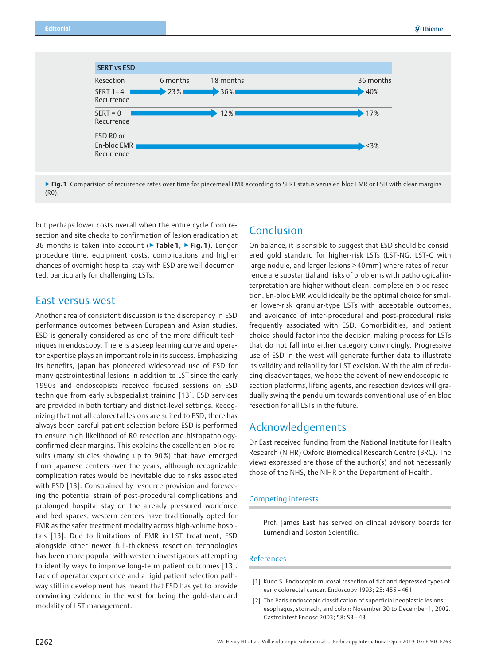

▶ Fig. 1 Comparision of recurrence rates over time for piecemeal EMR according to SERT status verus en bloc EMR or ESD with clear margins (R0).

but perhaps lower costs overall when the entire cycle from resection and site checks to confirmation of lesion eradication at 36 months is taken into account (▶ Table 1, ▶ Fig. 1). Longer procedure time, equipment costs, complications and higher chances of overnight hospital stay with ESD are well-documented, particularly for challenging LSTs.

## East versus west

Another area of consistent discussion is the discrepancy in ESD performance outcomes between European and Asian studies. ESD is generally considered as one of the more difficult techniques in endoscopy. There is a steep learning curve and operator expertise plays an important role in its success. Emphasizing its benefits, Japan has pioneered widespread use of ESD for many gastrointestinal lesions in addition to LST since the early 1990s and endoscopists received focused sessions on ESD technique from early subspecialist training [13]. ESD services are provided in both tertiary and district-level settings. Recognizing that not all colorectal lesions are suited to ESD, there has always been careful patient selection before ESD is performed to ensure high likelihood of R0 resection and histopathologyconfirmed clear margins. This explains the excellent en-bloc results (many studies showing up to 90%) that have emerged from Japanese centers over the years, although recognizable complication rates would be inevitable due to risks associated with ESD [13]. Constrained by resource provision and foreseeing the potential strain of post-procedural complications and prolonged hospital stay on the already pressured workforce and bed spaces, western centers have traditionally opted for EMR as the safer treatment modality across high-volume hospitals [13]. Due to limitations of EMR in LST treatment, ESD alongside other newer full-thickness resection technologies has been more popular with western investigators attempting to identify ways to improve long-term patient outcomes [13]. Lack of operator experience and a rigid patient selection pathway still in development has meant that ESD has yet to provide convincing evidence in the west for being the gold-standard modality of LST management.

## Conclusion

On balance, it is sensible to suggest that ESD should be considered gold standard for higher-risk LSTs (LST-NG, LST-G with large nodule, and larger lesions > 40 mm) where rates of recurrence are substantial and risks of problems with pathological interpretation are higher without clean, complete en-bloc resection. En-bloc EMR would ideally be the optimal choice for smaller lower-risk granular-type LSTs with acceptable outcomes, and avoidance of inter-procedural and post-procedural risks frequently associated with ESD. Comorbidities, and patient choice should factor into the decision-making process for LSTs that do not fall into either category convincingly. Progressive use of ESD in the west will generate further data to illustrate its validity and reliability for LST excision. With the aim of reducing disadvantages, we hope the advent of new endoscopic resection platforms, lifting agents, and resection devices will gradually swing the pendulum towards conventional use of en bloc resection for all LSTs in the future.

## Acknowledgements

Dr East received funding from the National Institute for Health Research (NIHR) Oxford Biomedical Research Centre (BRC). The views expressed are those of the author(s) and not necessarily those of the NHS, the NIHR or the Department of Health.

#### Competing interests

Prof. James East has served on clincal advisory boards for Lumendi and Boston Scientific.

### References

- [1] Kudo S. Endoscopic mucosal resection of flat and depressed types of early colorectal cancer. Endoscopy 1993; 25: 455 – 461
- [2] The Paris endoscopic classification of superficial neoplastic lesions: esophagus, stomach, and colon: November 30 to December 1, 2002. Gastrointest Endosc 2003; 58: S3 – 43